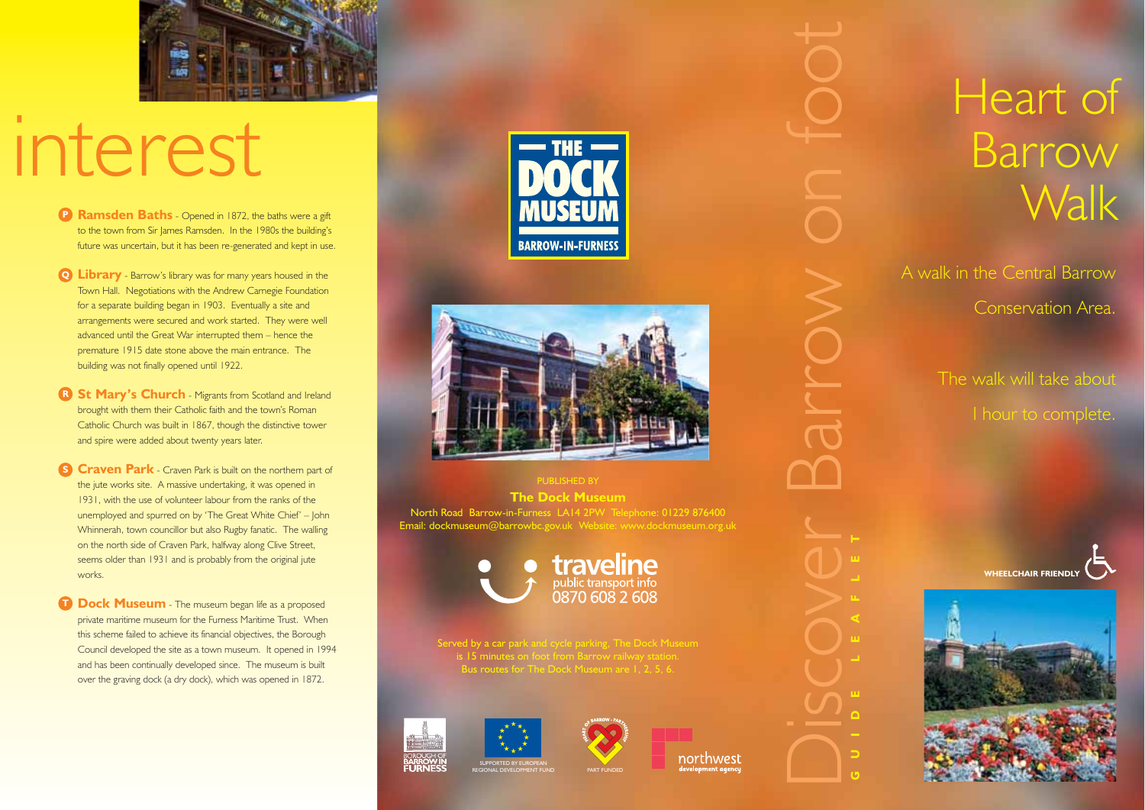

## interest

- **Ramsden Baths** Opened in 1872, the baths were a gift to the town from Sir James Ramsden. In the 1980s the building's future was uncertain, but it has been re-generated and kept in use.
- **Library** Barrow's library was for many years housed in the **Q** Town Hall. Negotiations with the Andrew Carnegie Foundation for a separate building began in 1903. Eventually a site and arrangements were secured and work started. They were well advanced until the Great War interrupted them – hence the premature 1915 date stone above the main entrance. The building was not finally opened until 1922.
- **R** St Mary's Church Migrants from Scotland and Ireland brought with them their Catholic faith and the town's Roman Catholic Church was built in 1867, though the distinctive tower and spire were added about twenty years later.
- **S Craven Park** Craven Park is built on the northern part of the jute works site. A massive undertaking, it was opened in 1931, with the use of volunteer labour from the ranks of the unemployed and spurred on by 'The Great White Chief' – John Whinnerah, town councillor but also Rugby fanatic. The walling on the north side of Craven Park, halfway along Clive Street, seems older than 1931 and is probably from the original jute works.
- **Dock Museum** The museum began life as a proposed private maritime museum for the Furness Maritime Trust. When this scheme failed to achieve its financial objectives, the Borough Council developed the site as a town museum. It opened in 1994 and has been continually developed since. The museum is built over the graving dock (a dry dock), which was opened in 1872.





**The Dock Museum** North Road Barrow-in-Furness LA14 2PW Telephone: 01229 876400 Email: dockmuseum@barrowbc.gov.uk Website: www.dockmuseum.org.uk



Served by a car park and cycle parking, The Dock Museum Bus routes for The Dock Museum are 1, 2, 5, 6.

SUPPORTED BY EUROPEAN







northwest

## Heart of **Barrow Walk**

A walk in the Central Barrow Conservation Area.

> The walk will take about 1 hour to complete.





**GUIDE LEAFLET**

Discover Barrow on foot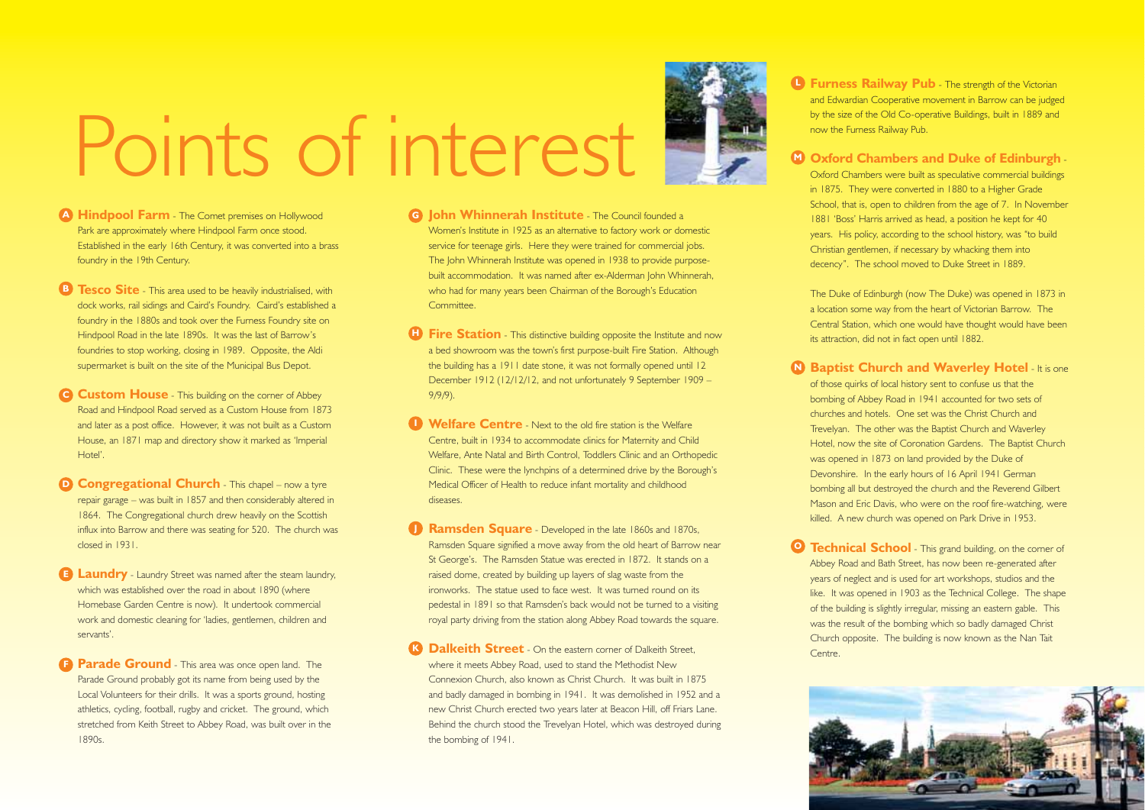

- **A Hindpool Farm** The Comet premises on Hollywood Park are approximately where Hindpool Farm once stood. Established in the early 16th Century, it was converted into a brass foundry in the 19th Century.
- **B Tesco Site** This area used to be heavily industrialised, with dock works, rail sidings and Caird's Foundry. Caird's established a foundry in the 1880s and took over the Furness Foundry site on Hindpool Road in the late 1890s. It was the last of Barrow's foundries to stop working, closing in 1989. Opposite, the Aldi supermarket is built on the site of the Municipal Bus Depot.
- **C** Custom House This building on the corner of Abbey Road and Hindpool Road served as a Custom House from 1873 and later as a post office. However, it was not built as a Custom House, an 1871 map and directory show it marked as 'Imperial Hotel'.
- **D** Congregational Church This chapel now a tyre repair garage – was built in 1857 and then considerably altered in 1864. The Congregational church drew heavily on the Scottish influx into Barrow and there was seating for 520. The church was closed in 1931.
- **Laundry** Laundry Street was named after the steam laundry, which was established over the road in about 1890 (where Homebase Garden Centre is now). It undertook commercial work and domestic cleaning for 'ladies, gentlemen, children and servants'.
- **Parade Ground** This area was once open land. The Parade Ground probably got its name from being used by the Local Volunteers for their drills. It was a sports ground, hosting athletics, cycling, football, rugby and cricket. The ground, which stretched from Keith Street to Abbey Road, was built over in the 1890s.
- **G** John Whinnerah Institute The Council founded a Women's Institute in 1925 as an alternative to factory work or domestic service for teenage girls. Here they were trained for commercial jobs. The John Whinnerah Institute was opened in 1938 to provide purposebuilt accommodation. It was named after ex-Alderman John Whinnerah, who had for many years been Chairman of the Borough's Education Committee.
- **Fire Station** This distinctive building opposite the Institute and now a bed showroom was the town's first purpose-built Fire Station. Although the building has a 1911 date stone, it was not formally opened until 12 December 1912 (12/12/12, and not unfortunately 9 September 1909 – 9/9/9).
- **Welfare Centre** Next to the old fire station is the Welfare **I** Centre, built in 1934 to accommodate clinics for Maternity and Child Welfare, Ante Natal and Birth Control, Toddlers Clinic and an Orthopedic Clinic. These were the lynchpins of a determined drive by the Borough's Medical Officer of Health to reduce infant mortality and childhood diseases.
- **Ramsden Square** Developed in the late 1860s and 1870s, Ramsden Square signified a move away from the old heart of Barrow near St George's. The Ramsden Statue was erected in 1872. It stands on a raised dome, created by building up layers of slag waste from the ironworks. The statue used to face west. It was turned round on its pedestal in 1891 so that Ramsden's back would not be turned to a visiting royal party driving from the station along Abbey Road towards the square.
- **Dalkeith Street** On the eastern corner of Dalkeith Street where it meets Abbey Road, used to stand the Methodist New Connexion Church, also known as Christ Church. It was built in 1875 and badly damaged in bombing in 1941. It was demolished in 1952 and a new Christ Church erected two years later at Beacon Hill, off Friars Lane. Behind the church stood the Trevelyan Hotel, which was destroyed during the bombing of 1941. **K**
- **Furness Railway Pub** The strength of the Victorian and Edwardian Cooperative movement in Barrow can be judged by the size of the Old Co-operative Buildings, built in 1889 and now the Furness Railway Pub.
- **Oxford Chambers and Duke of Edinburgh M** Oxford Chambers were built as speculative commercial buildings in 1875. They were converted in 1880 to a Higher Grade School, that is, open to children from the age of 7. In November 1881 'Boss' Harris arrived as head, a position he kept for 40 years. His policy, according to the school history, was "to build Christian gentlemen, if necessary by whacking them into decency". The school moved to Duke Street in 1889.
	- The Duke of Edinburgh (now The Duke) was opened in 1873 in a location some way from the heart of Victorian Barrow. The Central Station, which one would have thought would have been its attraction, did not in fact open until 1882.
- **D** Baptist Church and Waverley Hotel It is one of those quirks of local history sent to confuse us that the bombing of Abbey Road in 1941 accounted for two sets of churches and hotels. One set was the Christ Church and Trevelyan. The other was the Baptist Church and Waverley Hotel, now the site of Coronation Gardens. The Baptist Church was opened in 1873 on land provided by the Duke of Devonshire. In the early hours of 16 April 1941 German bombing all but destroyed the church and the Reverend Gilbert Mason and Eric Davis, who were on the roof fire-watching, were killed. A new church was opened on Park Drive in 1953.
- **P Technical School** This grand building, on the corner of Abbey Road and Bath Street, has now been re-generated after years of neglect and is used for art workshops, studios and the like. It was opened in 1903 as the Technical College. The shape of the building is slightly irregular, missing an eastern gable. This was the result of the bombing which so badly damaged Christ Church opposite. The building is now known as the Nan Tait Centre.